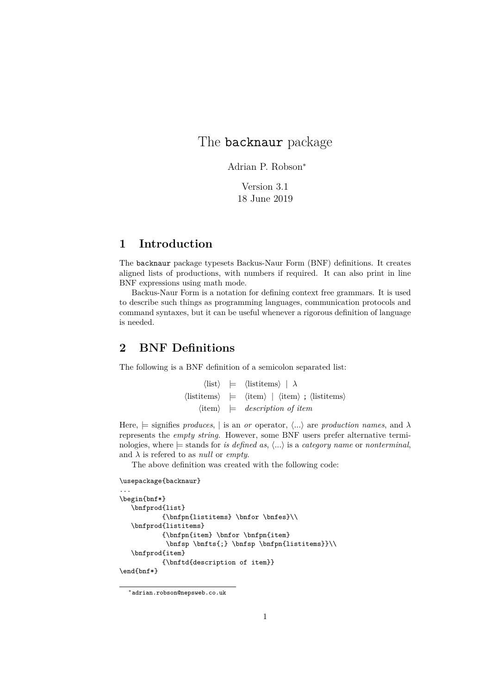# The **backnaur** package

Adrian P. Robson<sup>∗</sup>

Version 3.1 18 June 2019

### **1 Introduction**

The backnaur package typesets Backus-Naur Form (BNF) definitions. It creates aligned lists of productions, with numbers if required. It can also print in line BNF expressions using math mode.

Backus-Naur Form is a notation for defining context free grammars. It is used to describe such things as programming languages, communication protocols and command syntaxes, but it can be useful whenever a rigorous definition of language is needed.

# **2 BNF Definitions**

The following is a BNF definition of a semicolon separated list:

 $\langle$ listi  $| \rangle$   $| \rangle$   $| \lambda$  $\langle$ listitems $\rangle$  =  $\langle$ item $\rangle$  |  $\langle$ item $\rangle$  ;  $\langle$ listitems $\rangle$  $\langle$ item $\rangle$  = *description of item* 

Here,  $\models$  signifies *produces*, | is an *or* operator,  $\langle ... \rangle$  are *production names*, and  $\lambda$ represents the *empty string*. However, some BNF users prefer alternative terminologies, where  $\models$  stands for *is defined as*,  $\langle ... \rangle$  is a *category name* or *nonterminal*, and *λ* is refered to as *null* or *empty*.

The above definition was created with the following code:

```
\usepackage{backnaur}
```

```
...
\begin{bnf*}
   \bnfprod{list}
           {\hbox{\rm\{listitems\}} \b{of \b{nfes}\}}\bnfprod{listitems}
           {\bnfpn{item} \bnfor \bnfpn{item}
            \hbox{\bf sp \bf f} \thmfsp \thmfsp \thmfsp \thmfsp\bnfprod{item}
           {\bnftd{description of item}}
\end{bnf*}
```
<sup>∗</sup>adrian.robson@nepsweb.co.uk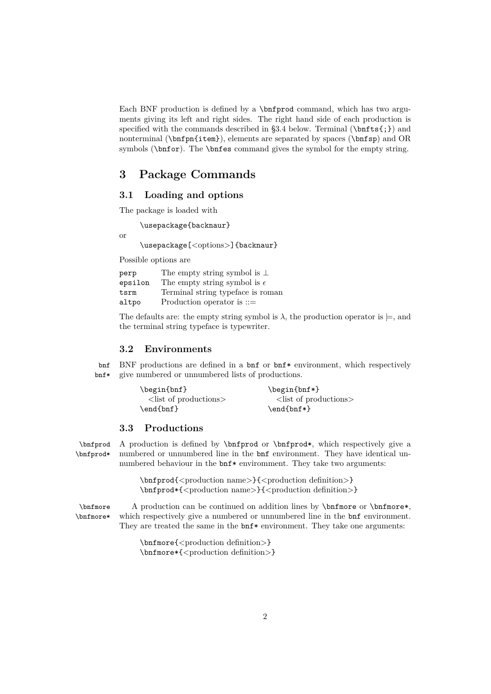Each BNF production is defined by a \bnfprod command, which has two arguments giving its left and right sides. The right hand side of each production is specified with the commands described in §3.4 below. Terminal  $(\mathbf{bnfts};)$  and nonterminal (\bnfpn{item}), elements are separated by spaces (\bnfsp) and OR symbols (\bnfor). The \bnfes command gives the symbol for the empty string.

### **3 Package Commands**

### **3.1 Loading and options**

The package is loaded with

\usepackage{backnaur} or \usepackage[<options>]{backnaur}

Possible options are

| perp    | The empty string symbol is $\perp$    |
|---------|---------------------------------------|
| epsilon | The empty string symbol is $\epsilon$ |
| tsrm    | Terminal string typeface is roman     |
| altpo   | Production operator is $::=$          |

The defaults are: the empty string symbol is  $\lambda$ , the production operator is  $\models$ , and the terminal string typeface is typewriter.

#### **3.2 Environments**

bnf BNF productions are defined in a bnf or bnf\* environment, which respectively bnf\* give numbered or unnumbered lists of productions.

| \begin{bnf}                   | $\begin{bmatrix} \text{bnf*} \end{bmatrix}$ |
|-------------------------------|---------------------------------------------|
| $\langle$ list of productions | $\langle$ list of productions               |
| \end{bnf}                     | $\end{bmatrix}$                             |

### **3.3 Productions**

\bnfprod A production is defined by \bnfprod or \bnfprod\*, which respectively give a \bnfprod\* numbered or unnumbered line in the bnf environment. They have identical unnumbered behaviour in the bnf\* enviromment. They take two arguments:

> \bnfprod{<production name>}{<production definition>} \bnfprod\*{<production name>}{<production definition>}

\bnfmore A production can be continued on addition lines by \bnfmore or \bnfmore\*, \bnfmore\* which respectively give a numbered or unnumbered line in the bnf environment. They are treated the same in the  $bnf*$  environment. They take one arguments:

> \bnfmore{<production definition>} \bnfmore\*{<production definition>}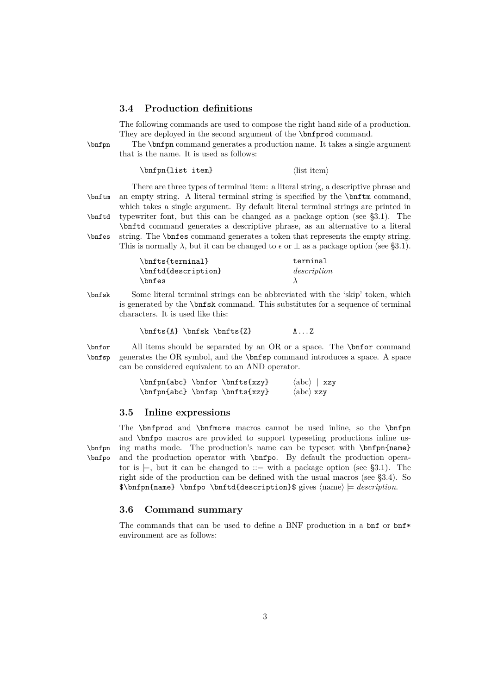#### **3.4 Production definitions**

The following commands are used to compose the right hand side of a production. They are deployed in the second argument of the **\bnfprod** command.

\bnfpn The \bnfpn command generates a production name. It takes a single argument

that is the name. It is used as follows:

 $\in$   $\{\text{list item}\}$   $\{\text{list item}\}$ 

There are three types of terminal item: a literal string, a descriptive phrase and \bnftm an empty string. A literal terminal string is specified by the \bnftm command, which takes a single argument. By default literal terminal strings are printed in \bnftd typewriter font, but this can be changed as a package option (see §3.1). The

\bnftd command generates a descriptive phrase, as an alternative to a literal \bnfes string. The \bnfes command generates a token that represents the empty string. s is normally  $\lambda$ , but it can be changed to  $\epsilon$  or  $\perp$  as a package option (see §3.1).

|  |  | ጦኡ | 'nı |
|--|--|----|-----|
|  |  |    |     |

| \bnfts{terminal}    | terminal    |
|---------------------|-------------|
| \bnftd{description} | description |
| \bnfes              |             |

\bnfsk Some literal terminal strings can be abbreviated with the 'skip' token, which is generated by the \bnfsk command. This substitutes for a sequence of terminal characters. It is used like this:

$$
\{A\} \in \mathcal{Z}\n \quad \text{A} \in \mathcal{Z}
$$

\bnfor All items should be separated by an OR or a space. The \bnfor command \bnfsp generates the OR symbol, and the \bnfsp command introduces a space. A space can be considered equivalent to an AND operator.

| \bnfpn{abc} \bnfor \bnfts{xzy} |  | $\langle abc \rangle$   xzy |
|--------------------------------|--|-----------------------------|
| \bnfpn{abc} \bnfsp \bnfts{xzy} |  | $\langle abc \rangle xzy$   |

### **3.5 Inline expressions**

The \bnfprod and \bnfmore macros cannot be used inline, so the \bnfpn and \bnfpo macros are provided to support typeseting productions inline us- \bnfpn ing maths mode. The production's name can be typeset with \bnfpn{name} \bnfpo and the production operator with \bnfpo. By default the production operator is  $\models$ , but it can be changed to ::= with a package option (see §3.1). The right side of the production can be defined with the usual macros (see §3.4). So  $\theta \in \theta$  \bnfpo \bnftd{description}\$ gives  $\langle$  hame} = *description*.

#### **3.6 Command summary**

The commands that can be used to define a BNF production in a  $\text{bnf}$  or  $\text{bnf}$ \* environment are as follows: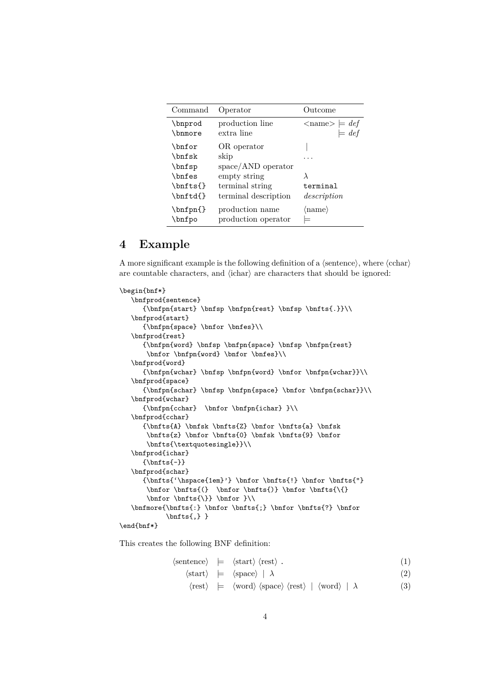| Command                                                               | Operator                                                                                               | Outcome                                         |
|-----------------------------------------------------------------------|--------------------------------------------------------------------------------------------------------|-------------------------------------------------|
| \bnprod<br>\bnmore                                                    | production line<br>extra line                                                                          | $\langle$ name $\rangle \models def$<br>$= def$ |
| \bnfor<br>\bnfsk<br>\bnfsp<br>\bnfes<br>$\verb \bnfts{} $<br>\bnftd{} | OR operator<br>skip<br>$space/AND$ operator<br>empty string<br>terminal string<br>terminal description | terminal<br>description                         |
| $\verb \bnfpn $<br>\bnfpo                                             | production name<br>production operator                                                                 | $\langle$ name $\rangle$                        |

# **4 Example**

A more significant example is the following definition of a  $\langle$  sentence $\rangle$ , where  $\langle$  cchar $\rangle$ are countable characters, and  $\langle$ ichar $\rangle$  are characters that should be ignored:

```
\begin{bnf*}
    \bnfprod{sentence}
        \verb|bnfpn{start}| \bnfsp \phi{rest} \bnfsp \bnfsf{.}}\\bnfprod{start}
        {\bnfpn{space} \bnfor \bnfes}\\
    \bnfprod{rest}
        {\bnfpn{word} \bnfsp \bnfpn{space} \bnfsp \bnfpn{rest}
         \bnfor \bnfpn{word} \bnfor \bnfes}\\
    \bnfprod{word}
        {\hbox{\rm binfp}\in\mathbb{C}}\bnfprod{space}
        {\hbox{\rm{schar}} \bf {\hspace{0.5mm} \bf{space}} \bf \for \bf {\hspace{0.5mm} \bf{hs}}\bf }\bnfprod{wchar}
        {\hbox{\rm{cchar}} \b{nfor \bf{infchar}} \}\bnfprod{cchar}
        {\bf{A} \b nfsk \b nfs{Z} \b nfs{A} \b nfsk\hbarts{z} \bnfor \bnfts{0} \bnfsk \bnfts{9} \bnfor
         \bnfts{\textquotesingle}}\\
    \bnfprod{ichar}
        {\hbox{\rm\{~}}\}\bnfprod{schar}
        {\bf{\'hspace} \thinspace \hspace{0.07cm} \hspace{0.07cm} \hspace{0.07cm} \hspace{0.07cm} \hspace{0.07cm} \hspace{0.07cm} \hspace{0.07cm} \hspace{0.07cm} \hspace{0.07cm} \hspace{0.07cm} \hspace{0.07cm} \hspace{0.07cm} \hspace{0.07cm} \hspace{0.07cm} \hspace{0.07cm} \hspace{0.07cm} \hspace{0.07cm} \hspace{0.07cm} \hspace{0.07cm} \hspace{0.07cm} \hspace{0.07cm}\bnfor \bnfts{(} \bnfor \bnfts{)} \bnfor \bnfts{\{}
         \bnfor \bnfts{\}} \bnfor }\\
    \label{thmore} $$\bnfmore{\bnts{: } \bnfor \bnfts{; } \bnfor \bnfts{?} \bnfor\verb|\bnfts{,}|\end{bnf*}
```
This creates the following BNF definition:

$$
\langle \text{sentence} \rangle \models \langle \text{start} \rangle \langle \text{rest} \rangle . \tag{1}
$$

$$
\langle \text{start} \rangle \models \langle \text{space} \rangle \mid \lambda \tag{2}
$$

$$
\langle \text{rest} \rangle \quad \models \quad \langle \text{word} \rangle \langle \text{space} \rangle \langle \text{rest} \rangle \quad | \langle \text{word} \rangle \quad | \quad \lambda \tag{3}
$$